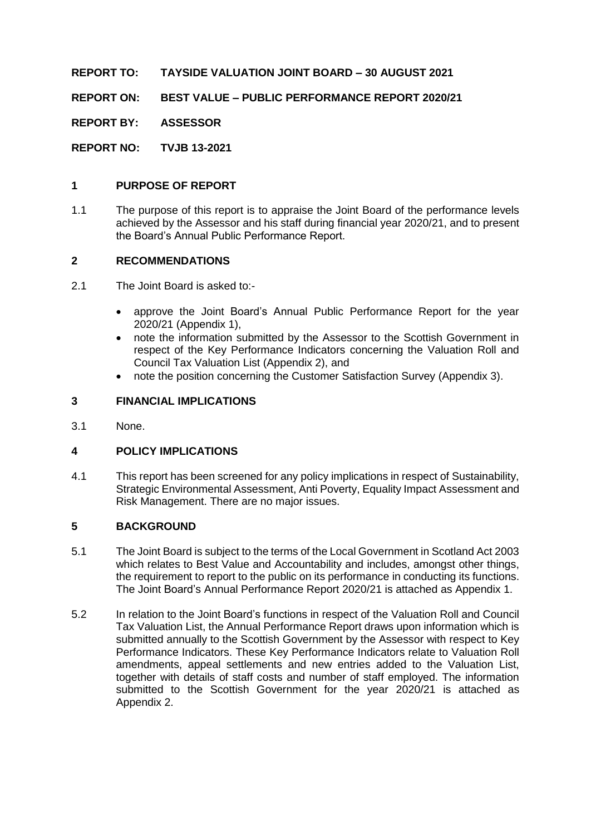**REPORT TO: TAYSIDE VALUATION JOINT BOARD – 30 AUGUST 2021**

**REPORT ON: BEST VALUE – PUBLIC PERFORMANCE REPORT 2020/21**

**REPORT BY: ASSESSOR**

**REPORT NO: TVJB 13-2021**

## **1 PURPOSE OF REPORT**

1.1 The purpose of this report is to appraise the Joint Board of the performance levels achieved by the Assessor and his staff during financial year 2020/21, and to present the Board's Annual Public Performance Report.

## **2 RECOMMENDATIONS**

- 2.1 The Joint Board is asked to:-
	- approve the Joint Board's Annual Public Performance Report for the year 2020/21 (Appendix 1),
	- note the information submitted by the Assessor to the Scottish Government in respect of the Key Performance Indicators concerning the Valuation Roll and Council Tax Valuation List (Appendix 2), and
	- note the position concerning the Customer Satisfaction Survey (Appendix 3).

# **3 FINANCIAL IMPLICATIONS**

3.1 None.

## **4 POLICY IMPLICATIONS**

4.1 This report has been screened for any policy implications in respect of Sustainability, Strategic Environmental Assessment, Anti Poverty, Equality Impact Assessment and Risk Management. There are no major issues.

## **5 BACKGROUND**

- 5.1 The Joint Board is subject to the terms of the Local Government in Scotland Act 2003 which relates to Best Value and Accountability and includes, amongst other things, the requirement to report to the public on its performance in conducting its functions. The Joint Board's Annual Performance Report 2020/21 is attached as Appendix 1.
- 5.2 In relation to the Joint Board's functions in respect of the Valuation Roll and Council Tax Valuation List, the Annual Performance Report draws upon information which is submitted annually to the Scottish Government by the Assessor with respect to Key Performance Indicators. These Key Performance Indicators relate to Valuation Roll amendments, appeal settlements and new entries added to the Valuation List, together with details of staff costs and number of staff employed. The information submitted to the Scottish Government for the year 2020/21 is attached as Appendix 2.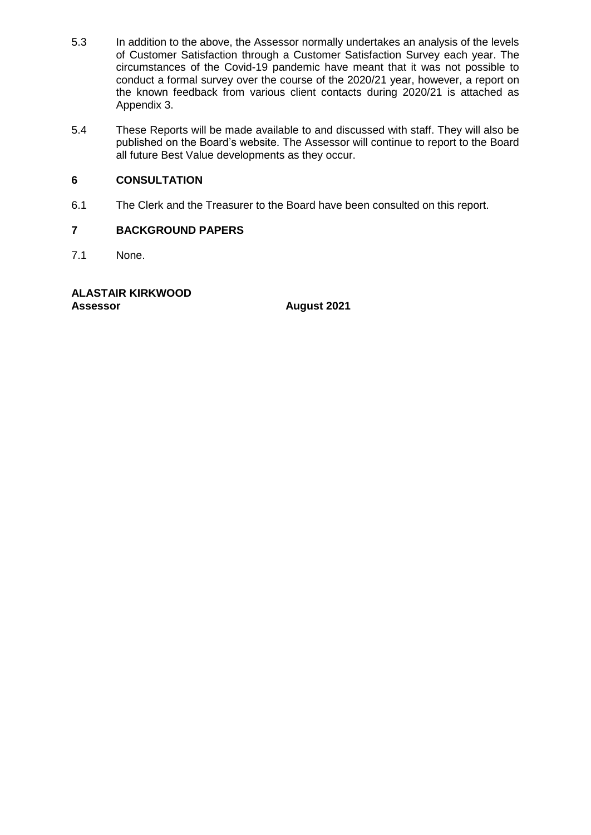- 5.3 In addition to the above, the Assessor normally undertakes an analysis of the levels of Customer Satisfaction through a Customer Satisfaction Survey each year. The circumstances of the Covid-19 pandemic have meant that it was not possible to conduct a formal survey over the course of the 2020/21 year, however, a report on the known feedback from various client contacts during 2020/21 is attached as Appendix 3.
- 5.4 These Reports will be made available to and discussed with staff. They will also be published on the Board's website. The Assessor will continue to report to the Board all future Best Value developments as they occur.

# **6 CONSULTATION**

6.1 The Clerk and the Treasurer to the Board have been consulted on this report.

# **7 BACKGROUND PAPERS**

7.1 None.

**ALASTAIR KIRKWOOD Assessor August 2021**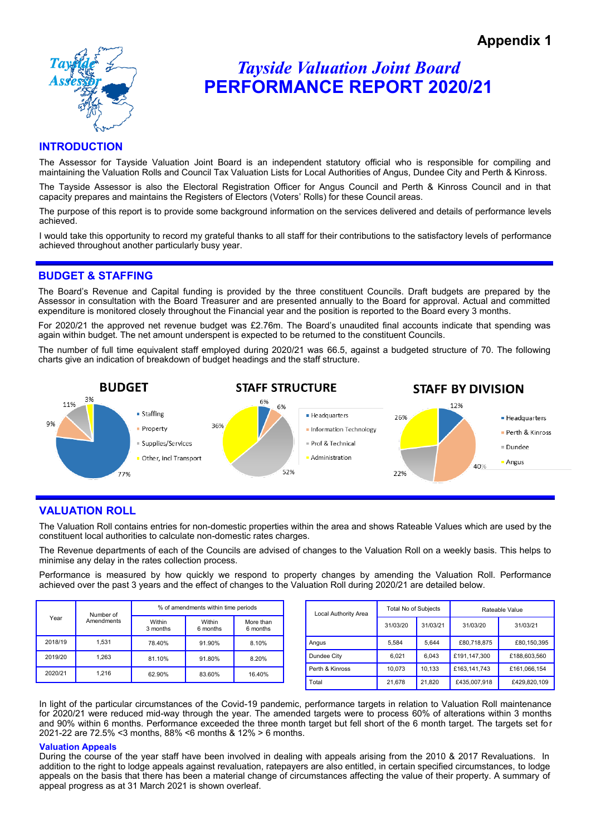

# *Tayside Valuation Joint Board* **PERFORMANCE REPORT 2020/21**

### **INTRODUCTION**

The Assessor for Tayside Valuation Joint Board is an independent statutory official who is responsible for compiling and maintaining the Valuation Rolls and Council Tax Valuation Lists for Local Authorities of Angus, Dundee City and Perth & Kinross.

The Tayside Assessor is also the Electoral Registration Officer for Angus Council and Perth & Kinross Council and in that capacity prepares and maintains the Registers of Electors (Voters' Rolls) for these Council areas.

The purpose of this report is to provide some background information on the services delivered and details of performance levels achieved.

I would take this opportunity to record my grateful thanks to all staff for their contributions to the satisfactory levels of performance achieved throughout another particularly busy year.

#### **BUDGET & STAFFING**

The Board's Revenue and Capital funding is provided by the three constituent Councils. Draft budgets are prepared by the Assessor in consultation with the Board Treasurer and are presented annually to the Board for approval. Actual and committed expenditure is monitored closely throughout the Financial year and the position is reported to the Board every 3 months.

For 2020/21 the approved net revenue budget was £2.76m. The Board's unaudited final accounts indicate that spending was again within budget. The net amount underspent is expected to be returned to the constituent Councils.

The number of full time equivalent staff employed during 2020/21 was 66.5, against a budgeted structure of 70. The following charts give an indication of breakdown of budget headings and the staff structure.



## **VALUATION ROLL**

The Valuation Roll contains entries for non-domestic properties within the area and shows Rateable Values which are used by the constituent local authorities to calculate non-domestic rates charges.

The Revenue departments of each of the Councils are advised of changes to the Valuation Roll on a weekly basis. This helps to minimise any delay in the rates collection process.

Performance is measured by how quickly we respond to property changes by amending the Valuation Roll. Performance achieved over the past 3 years and the effect of changes to the Valuation Roll during 2020/21 are detailed below.

| Year    | Number of  | % of amendments within time periods |                    |                       |  |  |
|---------|------------|-------------------------------------|--------------------|-----------------------|--|--|
|         | Amendments | Within<br>3 months                  | Within<br>6 months | More than<br>6 months |  |  |
| 2018/19 | 1.531      | 78.40%                              | 91.90%             | 8.10%                 |  |  |
| 2019/20 | 1.263      | 81.10%                              | 91.80%             | 8.20%                 |  |  |
| 2020/21 | 1.216      | 62.90%                              | 83.60%             | 16.40%                |  |  |

| Local Authority Area | Total No of Subjects |          | Rateable Value |              |  |
|----------------------|----------------------|----------|----------------|--------------|--|
|                      | 31/03/20             | 31/03/21 | 31/03/20       | 31/03/21     |  |
| Angus                | 5.584                | 5.644    | £80,718,875    | £80.150.395  |  |
| Dundee City          | 6.021                | 6.043    | £191.147.300   | £188,603.560 |  |
| Perth & Kinross      | 10.073               | 10.133   | £163,141,743   | £161.066.154 |  |
| Total                | 21,678               | 21.820   | £435,007,918   | £429.820.109 |  |

In light of the particular circumstances of the Covid-19 pandemic, performance targets in relation to Valuation Roll maintenance for 2020/21 were reduced mid-way through the year. The amended targets were to process 60% of alterations within 3 months and 90% within 6 months. Performance exceeded the three month target but fell short of the 6 month target. The targets set for 2021-22 are 72.5% <3 months, 88% <6 months & 12% > 6 months.

#### **Valuation Appeals**

During the course of the year staff have been involved in dealing with appeals arising from the 2010 & 2017 Revaluations. In addition to the right to lodge appeals against revaluation, ratepayers are also entitled, in certain specified circumstances, to lodge appeals on the basis that there has been a material change of circumstances affecting the value of their property. A summary of appeal progress as at 31 March 2021 is shown overleaf.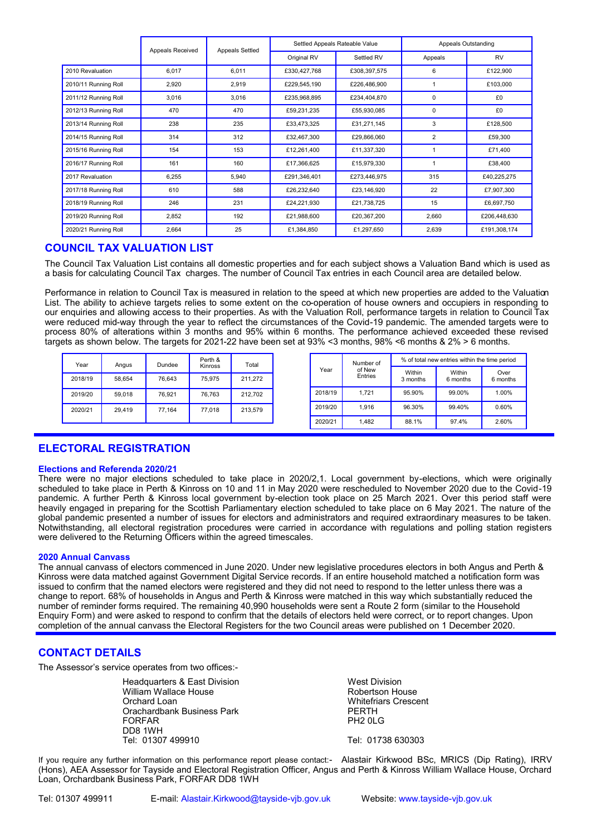|                      | Appeals Received<br><b>Appeals Settled</b> |       | Settled Appeals Rateable Value |              | Appeals Outstanding |              |
|----------------------|--------------------------------------------|-------|--------------------------------|--------------|---------------------|--------------|
|                      |                                            |       | Original RV                    | Settled RV   | Appeals             | RV           |
| 2010 Revaluation     | 6,017                                      | 6,011 | £330,427,768                   | £308,397,575 | 6                   | £122,900     |
| 2010/11 Running Roll | 2,920                                      | 2,919 | £229,545,190                   | £226,486,900 |                     | £103,000     |
| 2011/12 Running Roll | 3,016                                      | 3,016 | £235,968,895                   | £234,404,870 | 0                   | £0           |
| 2012/13 Running Roll | 470                                        | 470   | £59,231,235                    | £55,930,085  | 0                   | £0           |
| 2013/14 Running Roll | 238                                        | 235   | £33,473,325                    | £31,271,145  | 3                   | £128,500     |
| 2014/15 Running Roll | 314                                        | 312   | £32,467,300                    | £29,866,060  | 2                   | £59,300      |
| 2015/16 Running Roll | 154                                        | 153   | £12,261,400                    | £11,337,320  |                     | £71,400      |
| 2016/17 Running Roll | 161                                        | 160   | £17,366,625                    | £15,979,330  |                     | £38,400      |
| 2017 Revaluation     | 6,255                                      | 5,940 | £291,346,401                   | £273,446,975 | 315                 | £40,225,275  |
| 2017/18 Running Roll | 610                                        | 588   | £26,232,640                    | £23,146,920  | 22                  | £7,907,300   |
| 2018/19 Running Roll | 246                                        | 231   | £24,221,930                    | £21,738,725  | 15                  | £6,697,750   |
| 2019/20 Running Roll | 2,852                                      | 192   | £21,988,600                    | £20,367,200  | 2,660               | £206,448,630 |
| 2020/21 Running Roll | 2,664                                      | 25    | £1,384,850                     | £1,297,650   | 2,639               | £191,308,174 |

### **COUNCIL TAX VALUATION LIST**

The Council Tax Valuation List contains all domestic properties and for each subject shows a Valuation Band which is used as a basis for calculating Council Tax charges. The number of Council Tax entries in each Council area are detailed below.

Performance in relation to Council Tax is measured in relation to the speed at which new properties are added to the Valuation List. The ability to achieve targets relies to some extent on the co-operation of house owners and occupiers in responding to our enquiries and allowing access to their properties. As with the Valuation Roll, performance targets in relation to Council Tax were reduced mid-way through the year to reflect the circumstances of the Covid-19 pandemic. The amended targets were to process 80% of alterations within 3 months and 95% within 6 months. The performance achieved exceeded these revised targets as shown below. The targets for 2021-22 have been set at 93% <3 months, 98% <6 months & 2% > 6 months.

| Year    | Angus  | Dundee | Perth &<br>Kinross | Total   |  | Year    |                   | Number of          |                    | % of total new entries within the time period |  |
|---------|--------|--------|--------------------|---------|--|---------|-------------------|--------------------|--------------------|-----------------------------------------------|--|
| 2018/19 | 58.654 | 76.643 | 75.975             | 211.272 |  |         | of New<br>Entries | Within<br>3 months | Within<br>6 months | Over<br>6 months                              |  |
| 2019/20 | 59.018 | 76.921 | 76.763             | 212.702 |  | 2018/19 | 1.721             | 95.90%             | 99.00%             | 1.00%                                         |  |
| 2020/21 | 29.419 | 77.164 | 77.018             | 213,579 |  | 2019/20 | 1.916             | 96.30%             | 99.40%             | 0.60%                                         |  |
|         |        |        |                    |         |  | 2020/21 | 1,482             | 88.1%              | 97.4%              | 2.60%                                         |  |

## **ELECTORAL REGISTRATION**

#### **Elections and Referenda 2020/21**

There were no major elections scheduled to take place in 2020/2,1. Local government by-elections, which were originally scheduled to take place in Perth & Kinross on 10 and 11 in May 2020 were rescheduled to November 2020 due to the Covid-19 pandemic. A further Perth & Kinross local government by-election took place on 25 March 2021. Over this period staff were heavily engaged in preparing for the Scottish Parliamentary election scheduled to take place on 6 May 2021. The nature of the global pandemic presented a number of issues for electors and administrators and required extraordinary measures to be taken. Notwithstanding, all electoral registration procedures were carried in accordance with regulations and polling station registers were delivered to the Returning Officers within the agreed timescales.

#### **2020 Annual Canvass**

The annual canvass of electors commenced in June 2020. Under new legislative procedures electors in both Angus and Perth & Kinross were data matched against Government Digital Service records. If an entire household matched a notification form was issued to confirm that the named electors were registered and they did not need to respond to the letter unless there was a change to report. 68% of households in Angus and Perth & Kinross were matched in this way which substantially reduced the number of reminder forms required. The remaining 40,990 households were sent a Route 2 form (similar to the Household Enquiry Form) and were asked to respond to confirm that the details of electors held were correct, or to report changes. Upon completion of the annual canvass the Electoral Registers for the two Council areas were published on 1 December 2020.

#### **CONTACT DETAILS**

The Assessor's service operates from two offices:-

Headquarters & East Division Nest Division William Wallace House **Robertson House** Robertson House Orchard Loan Whitefriars Crescent Orachardbank Business Park **PERTH** FORFAR PH2 0LG DD8 1WH<br>Tel: 01307 499910

Tel: 01738 630303

If you require any further information on this performance report please contact:- Alastair Kirkwood BSc, MRICS (Dip Rating), IRRV (Hons), AEA Assessor for Tayside and Electoral Registration Officer, Angus and Perth & Kinross William Wallace House, Orchard Loan, Orchardbank Business Park, FORFAR DD8 1WH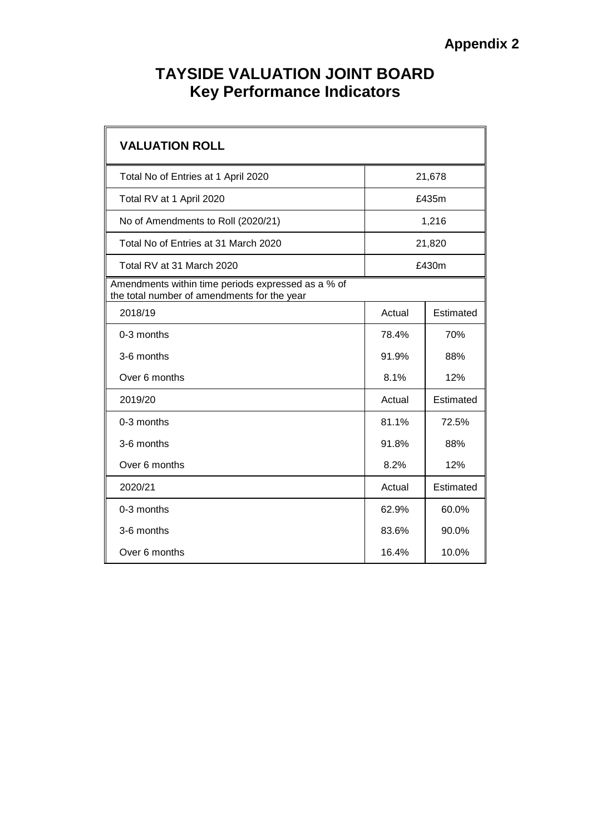# **TAYSIDE VALUATION JOINT BOARD Key Performance Indicators**

| <b>VALUATION ROLL</b>                                                                             |        |           |  |
|---------------------------------------------------------------------------------------------------|--------|-----------|--|
| Total No of Entries at 1 April 2020                                                               |        | 21,678    |  |
| Total RV at 1 April 2020                                                                          |        | £435m     |  |
| No of Amendments to Roll (2020/21)                                                                |        | 1,216     |  |
| Total No of Entries at 31 March 2020                                                              | 21,820 |           |  |
| Total RV at 31 March 2020                                                                         | £430m  |           |  |
| Amendments within time periods expressed as a % of<br>the total number of amendments for the year |        |           |  |
| 2018/19                                                                                           | Actual | Estimated |  |
| 0-3 months                                                                                        | 78.4%  | 70%       |  |
| 3-6 months                                                                                        | 91.9%  | 88%       |  |
| Over 6 months                                                                                     | 8.1%   | 12%       |  |
| 2019/20                                                                                           | Actual | Estimated |  |
| $0-3$ months                                                                                      | 81.1%  | 72.5%     |  |
| 3-6 months                                                                                        | 91.8%  | 88%       |  |
| Over 6 months                                                                                     | 8.2%   | 12%       |  |
| 2020/21                                                                                           | Actual | Estimated |  |
| 0-3 months                                                                                        | 62.9%  | 60.0%     |  |
| 3-6 months                                                                                        | 83.6%  | 90.0%     |  |
| Over 6 months                                                                                     | 16.4%  | 10.0%     |  |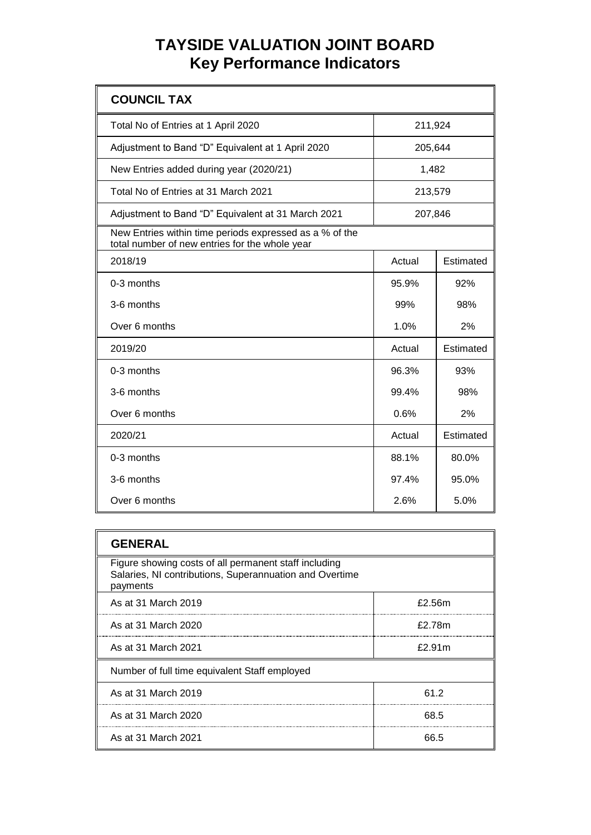# **TAYSIDE VALUATION JOINT BOARD Key Performance Indicators**

| <b>COUNCIL TAX</b>                                                                                        |         |           |
|-----------------------------------------------------------------------------------------------------------|---------|-----------|
| Total No of Entries at 1 April 2020                                                                       | 211,924 |           |
| Adjustment to Band "D" Equivalent at 1 April 2020                                                         | 205,644 |           |
| New Entries added during year (2020/21)                                                                   | 1,482   |           |
| Total No of Entries at 31 March 2021                                                                      | 213,579 |           |
| Adjustment to Band "D" Equivalent at 31 March 2021                                                        | 207,846 |           |
| New Entries within time periods expressed as a % of the<br>total number of new entries for the whole year |         |           |
| 2018/19                                                                                                   | Actual  | Estimated |
| 0-3 months                                                                                                | 95.9%   | 92%       |
| 3-6 months                                                                                                | 99%     | 98%       |
| Over 6 months                                                                                             | 1.0%    | 2%        |
| 2019/20                                                                                                   | Actual  | Estimated |
| 0-3 months                                                                                                | 96.3%   | 93%       |
| 3-6 months                                                                                                | 99.4%   | 98%       |
| Over 6 months                                                                                             | 0.6%    | 2%        |
| 2020/21                                                                                                   | Actual  | Estimated |
| 0-3 months                                                                                                | 88.1%   | 80.0%     |
| 3-6 months                                                                                                | 97.4%   | 95.0%     |
| Over 6 months                                                                                             | 2.6%    | 5.0%      |

| <b>GENERAL</b>                                                                                                               |        |
|------------------------------------------------------------------------------------------------------------------------------|--------|
| Figure showing costs of all permanent staff including<br>Salaries, NI contributions, Superannuation and Overtime<br>payments |        |
| As at 31 March 2019                                                                                                          | £2.56m |
| As at 31 March 2020                                                                                                          | £2.78m |
| As at 31 March 2021                                                                                                          | £2.91m |
| Number of full time equivalent Staff employed                                                                                |        |
| As at 31 March 2019                                                                                                          | 61.2   |
| As at 31 March 2020                                                                                                          | 68.5   |
| As at 31 March 2021                                                                                                          | 66.5   |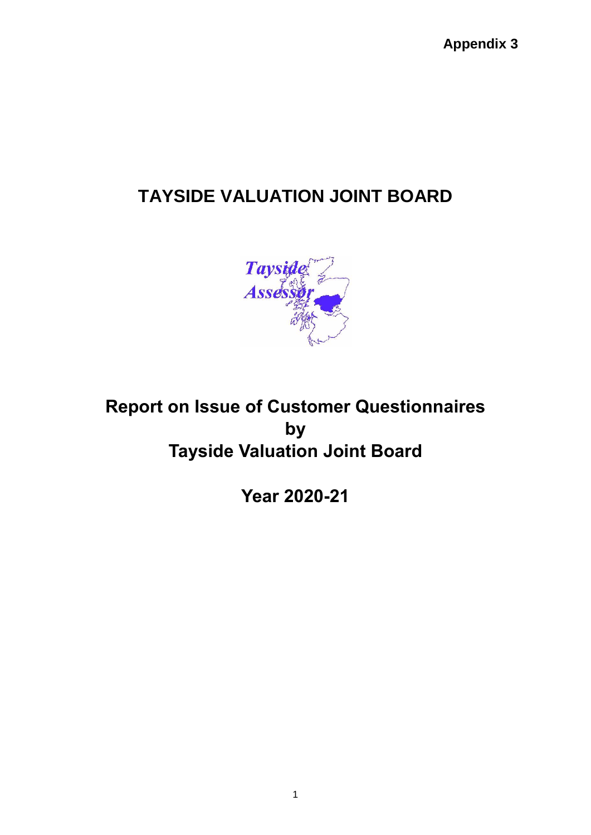**Appendix 3**

# **TAYSIDE VALUATION JOINT BOARD**



# **Report on Issue of Customer Questionnaires by Tayside Valuation Joint Board**

**Year 2020-21**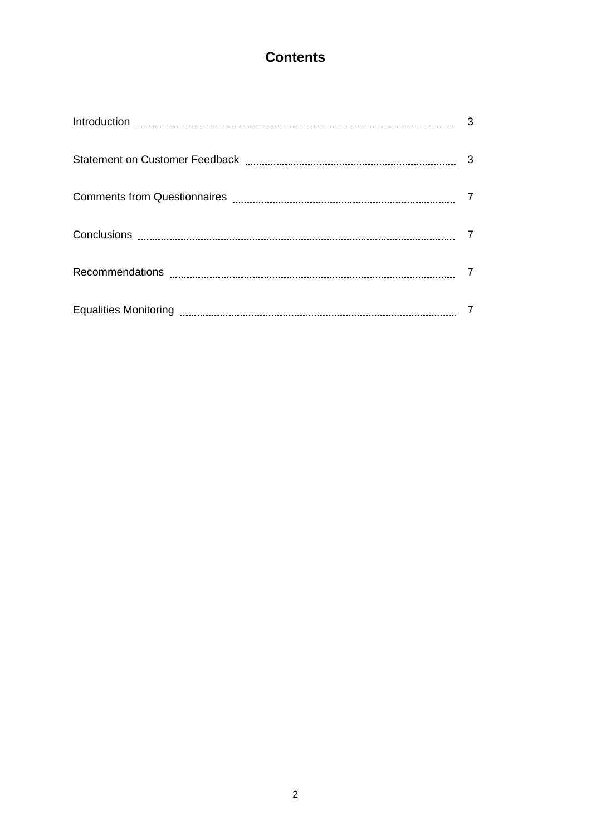# **Contents**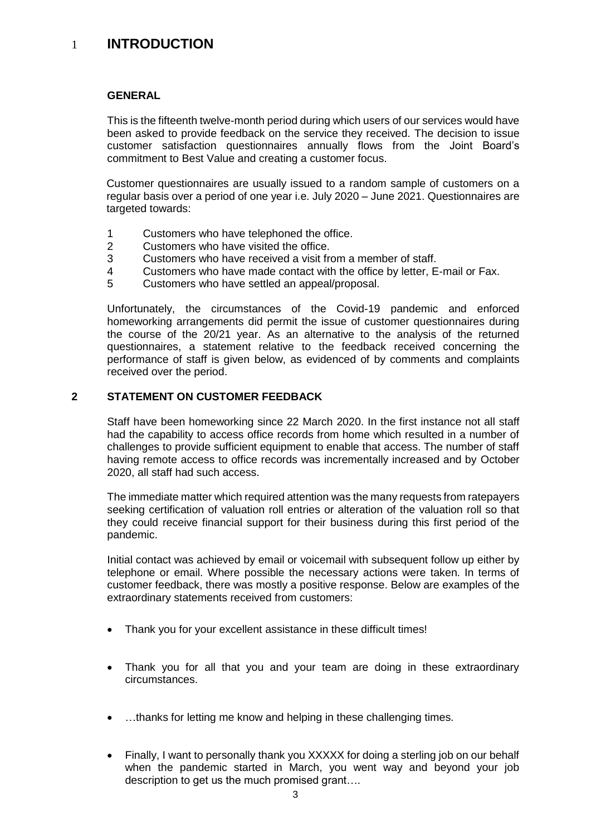# 1 **INTRODUCTION**

### **GENERAL**

This is the fifteenth twelve-month period during which users of our services would have been asked to provide feedback on the service they received. The decision to issue customer satisfaction questionnaires annually flows from the Joint Board's commitment to Best Value and creating a customer focus.

Customer questionnaires are usually issued to a random sample of customers on a regular basis over a period of one year i.e. July 2020 – June 2021. Questionnaires are targeted towards:

- 1 Customers who have telephoned the office.
- 2 Customers who have visited the office.
- 3 Customers who have received a visit from a member of staff.
- 4 Customers who have made contact with the office by letter, E-mail or Fax.
- 5 Customers who have settled an appeal/proposal.

Unfortunately, the circumstances of the Covid-19 pandemic and enforced homeworking arrangements did permit the issue of customer questionnaires during the course of the 20/21 year. As an alternative to the analysis of the returned questionnaires, a statement relative to the feedback received concerning the performance of staff is given below, as evidenced of by comments and complaints received over the period.

## **2 STATEMENT ON CUSTOMER FEEDBACK**

Staff have been homeworking since 22 March 2020. In the first instance not all staff had the capability to access office records from home which resulted in a number of challenges to provide sufficient equipment to enable that access. The number of staff having remote access to office records was incrementally increased and by October 2020, all staff had such access.

The immediate matter which required attention was the many requests from ratepayers seeking certification of valuation roll entries or alteration of the valuation roll so that they could receive financial support for their business during this first period of the pandemic.

Initial contact was achieved by email or voicemail with subsequent follow up either by telephone or email. Where possible the necessary actions were taken. In terms of customer feedback, there was mostly a positive response. Below are examples of the extraordinary statements received from customers:

- Thank you for your excellent assistance in these difficult times!
- Thank you for all that you and your team are doing in these extraordinary circumstances.
- ...thanks for letting me know and helping in these challenging times.
- Finally, I want to personally thank you XXXXX for doing a sterling job on our behalf when the pandemic started in March, you went way and beyond your job description to get us the much promised grant….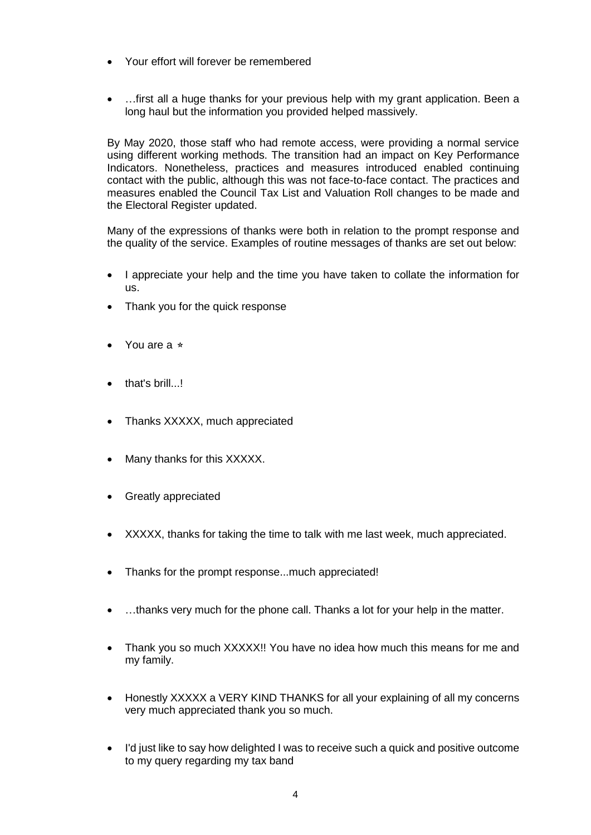- Your effort will forever be remembered
- ... first all a huge thanks for your previous help with my grant application. Been a long haul but the information you provided helped massively.

By May 2020, those staff who had remote access, were providing a normal service using different working methods. The transition had an impact on Key Performance Indicators. Nonetheless, practices and measures introduced enabled continuing contact with the public, although this was not face-to-face contact. The practices and measures enabled the Council Tax List and Valuation Roll changes to be made and the Electoral Register updated.

Many of the expressions of thanks were both in relation to the prompt response and the quality of the service. Examples of routine messages of thanks are set out below:

- I appreciate your help and the time you have taken to collate the information for us.
- Thank you for the quick response
- You are a ⭐
- that's brill...!
- Thanks XXXXX, much appreciated
- Many thanks for this XXXXX.
- Greatly appreciated
- XXXXX, thanks for taking the time to talk with me last week, much appreciated.
- Thanks for the prompt response...much appreciated!
- ...thanks very much for the phone call. Thanks a lot for your help in the matter.
- Thank you so much XXXXX!! You have no idea how much this means for me and my family.
- Honestly XXXXX a VERY KIND THANKS for all your explaining of all my concerns very much appreciated thank you so much.
- I'd just like to say how delighted I was to receive such a quick and positive outcome to my query regarding my tax band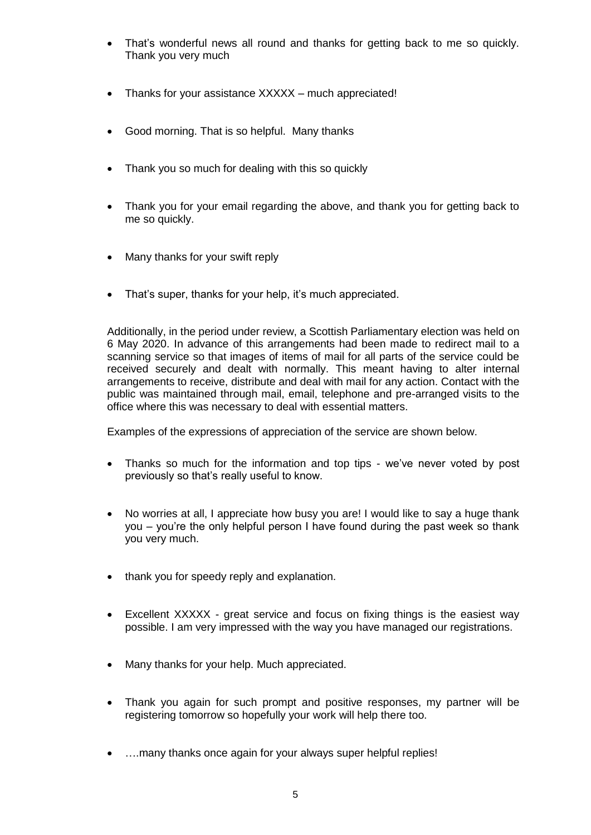- That's wonderful news all round and thanks for getting back to me so quickly. Thank you very much
- Thanks for your assistance XXXXX much appreciated!
- Good morning. That is so helpful. Many thanks
- Thank you so much for dealing with this so quickly
- Thank you for your email regarding the above, and thank you for getting back to me so quickly.
- Many thanks for your swift reply
- That's super, thanks for your help, it's much appreciated.

Additionally, in the period under review, a Scottish Parliamentary election was held on 6 May 2020. In advance of this arrangements had been made to redirect mail to a scanning service so that images of items of mail for all parts of the service could be received securely and dealt with normally. This meant having to alter internal arrangements to receive, distribute and deal with mail for any action. Contact with the public was maintained through mail, email, telephone and pre-arranged visits to the office where this was necessary to deal with essential matters.

Examples of the expressions of appreciation of the service are shown below.

- Thanks so much for the information and top tips we've never voted by post previously so that's really useful to know.
- No worries at all, I appreciate how busy you are! I would like to say a huge thank you – you're the only helpful person I have found during the past week so thank you very much.
- thank you for speedy reply and explanation.
- Excellent XXXXX great service and focus on fixing things is the easiest way possible. I am very impressed with the way you have managed our registrations.
- Many thanks for your help. Much appreciated.
- Thank you again for such prompt and positive responses, my partner will be registering tomorrow so hopefully your work will help there too.
- ….many thanks once again for your always super helpful replies!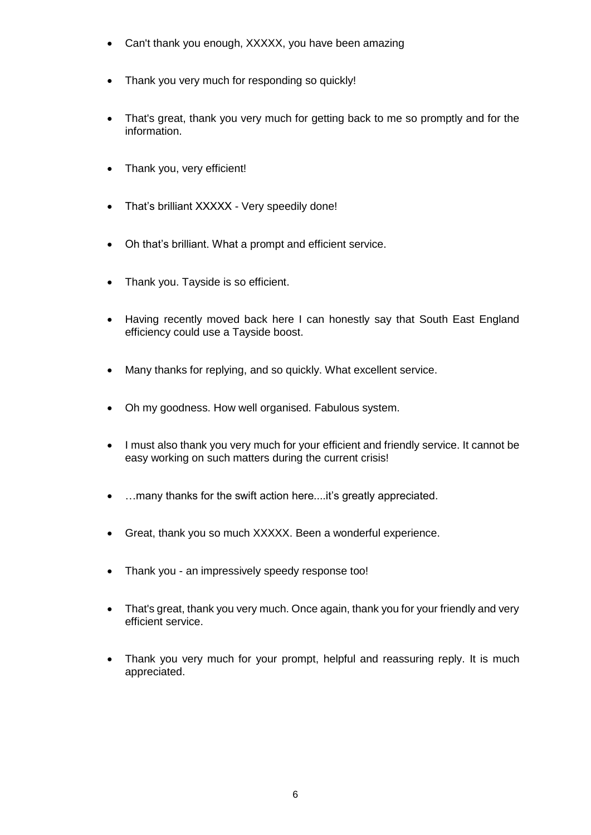- Can't thank you enough, XXXXX, you have been amazing
- Thank you very much for responding so quickly!
- That's great, thank you very much for getting back to me so promptly and for the information.
- Thank you, very efficient!
- That's brilliant XXXXX Very speedily done!
- Oh that's brilliant. What a prompt and efficient service.
- Thank you. Tayside is so efficient.
- Having recently moved back here I can honestly say that South East England efficiency could use a Tayside boost.
- Many thanks for replying, and so quickly. What excellent service.
- Oh my goodness. How well organised. Fabulous system.
- I must also thank you very much for your efficient and friendly service. It cannot be easy working on such matters during the current crisis!
- ...many thanks for the swift action here....it's greatly appreciated.
- Great, thank you so much XXXXX. Been a wonderful experience.
- Thank you an impressively speedy response too!
- That's great, thank you very much. Once again, thank you for your friendly and very efficient service.
- Thank you very much for your prompt, helpful and reassuring reply. It is much appreciated.